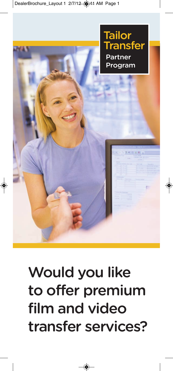

# **Would you like to offer premium film and video transfer services?**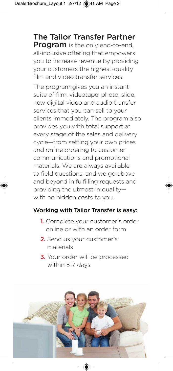**The Tailor Transfer Partner Program** is the only end-to-end, all-inclusive offering that empowers you to increase revenue by providing your customers the highest-quality film and video transfer services.

The program gives you an instant suite of film, videotape, photo, slide, new digital video and audio transfer services that you can sell to your clients immediately. The program also provides you with total support at every stage of the sales and delivery cycle—from setting your own prices and online ordering to customer communications and promotional materials. We are always available to field questions, and we go above and beyond in fulfilling requests and providing the utmost in quality with no hidden costs to you.

#### **Working with Tailor Transfer is easy:**

- **1.** Complete your customer's order online or with an order form
- **2.** Send us your customer's materials
- **3.** Your order will be processed within 5-7 days

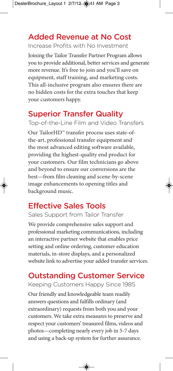#### **Added Revenue at No Cost**

Increase Profits with No Investment

Joining the Tailor Transfer Partner Program allows you to provide additional, better services and generate more revenue. It's free to join and you'll save on equipment, staff training, and marketing costs. This all-inclusive program also ensures there are no hidden costs for the extra touches that keep your customers happy.

### **Superior Transfer Quality**

Top-of-the-Line Film and Video Transfers

Our TailorHD™ transfer process uses state-ofthe-art, professional transfer equipment and the most advanced editing software available, providing the highest-quality end product for your customers. Our film technicians go above and beyond to ensure our conversions are the best—from film cleaning and scene-by-scene image enhancements to opening titles and background music.

### **Effective Sales Tools**

Sales Support from Tailor Transfer

We provide comprehensive sales support and professional marketing communications, including an interactive partner website that enables price setting and online ordering, customer education materials, in-store displays, and a personalized website link to advertise your added transfer services.

#### **Outstanding Customer Service**

Keeping Customers Happy Since 1985

Our friendly and knowledgeable team readily answers questions and fulfills ordinary (and extraordinary) requests from both you and your customers. We take extra measures to preserve and respect your customers' treasured films, videos and photos—completing nearly every job in 5-7 days and using a back-up system for further assurance.